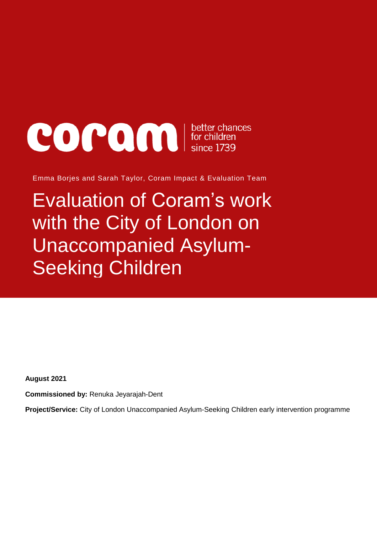# **COCOO DEL** better chances

Emma Borjes and Sarah Taylor, Coram Impact & Evaluation Team

Evaluation of Coram's work with the City of London on Unaccompanied Asylum-Seeking Children

**August 2021**

**Commissioned by:** Renuka Jeyarajah-Dent

**Project/Service:** City of London Unaccompanied Asylum-Seeking Children early intervention programme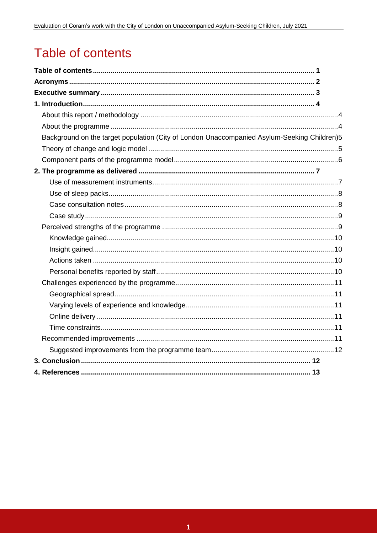# Table of contents

| Background on the target population (City of London Unaccompanied Asylum-Seeking Children)5 |  |
|---------------------------------------------------------------------------------------------|--|
|                                                                                             |  |
|                                                                                             |  |
|                                                                                             |  |
|                                                                                             |  |
|                                                                                             |  |
|                                                                                             |  |
|                                                                                             |  |
|                                                                                             |  |
|                                                                                             |  |
|                                                                                             |  |
|                                                                                             |  |
|                                                                                             |  |
|                                                                                             |  |
|                                                                                             |  |
|                                                                                             |  |
|                                                                                             |  |
|                                                                                             |  |
|                                                                                             |  |
|                                                                                             |  |
|                                                                                             |  |
|                                                                                             |  |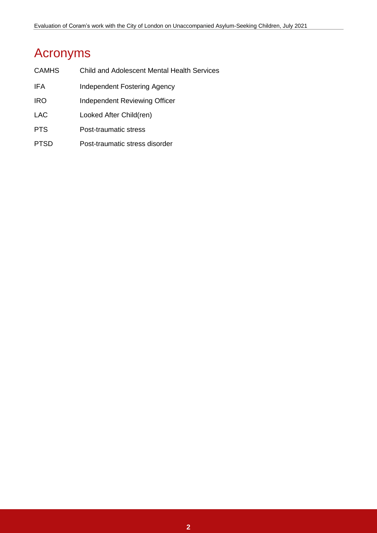# Acronyms

| <b>CAMHS</b> | <b>Child and Adolescent Mental Health Services</b> |
|--------------|----------------------------------------------------|
| IFA          | Independent Fostering Agency                       |
| <b>IRO</b>   | Independent Reviewing Officer                      |
| <b>LAC</b>   | Looked After Child(ren)                            |
| <b>PTS</b>   | Post-traumatic stress                              |
| PTSD         | Post-traumatic stress disorder                     |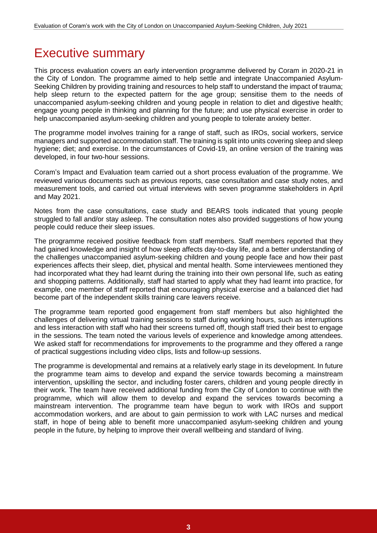# Executive summary

This process evaluation covers an early intervention programme delivered by Coram in 2020-21 in the City of London. The programme aimed to help settle and integrate Unaccompanied Asylum-Seeking Children by providing training and resources to help staff to understand the impact of trauma; help sleep return to the expected pattern for the age group; sensitise them to the needs of unaccompanied asylum-seeking children and young people in relation to diet and digestive health; engage young people in thinking and planning for the future; and use physical exercise in order to help unaccompanied asylum-seeking children and young people to tolerate anxiety better.

The programme model involves training for a range of staff, such as IROs, social workers, service managers and supported accommodation staff. The training is split into units covering sleep and sleep hygiene; diet; and exercise. In the circumstances of Covid-19, an online version of the training was developed, in four two-hour sessions.

Coram's Impact and Evaluation team carried out a short process evaluation of the programme. We reviewed various documents such as previous reports, case consultation and case study notes, and measurement tools, and carried out virtual interviews with seven programme stakeholders in April and May 2021.

Notes from the case consultations, case study and BEARS tools indicated that young people struggled to fall and/or stay asleep. The consultation notes also provided suggestions of how young people could reduce their sleep issues.

The programme received positive feedback from staff members. Staff members reported that they had gained knowledge and insight of how sleep affects day-to-day life, and a better understanding of the challenges unaccompanied asylum-seeking children and young people face and how their past experiences affects their sleep, diet, physical and mental health. Some interviewees mentioned they had incorporated what they had learnt during the training into their own personal life, such as eating and shopping patterns. Additionally, staff had started to apply what they had learnt into practice, for example, one member of staff reported that encouraging physical exercise and a balanced diet had become part of the independent skills training care leavers receive.

The programme team reported good engagement from staff members but also highlighted the challenges of delivering virtual training sessions to staff during working hours, such as interruptions and less interaction with staff who had their screens turned off, though staff tried their best to engage in the sessions. The team noted the various levels of experience and knowledge among attendees. We asked staff for recommendations for improvements to the programme and they offered a range of practical suggestions including video clips, lists and follow-up sessions.

The programme is developmental and remains at a relatively early stage in its development. In future the programme team aims to develop and expand the service towards becoming a mainstream intervention, upskilling the sector, and including foster carers, children and young people directly in their work. The team have received additional funding from the City of London to continue with the programme, which will allow them to develop and expand the services towards becoming a mainstream intervention. The programme team have begun to work with IROs and support accommodation workers, and are about to gain permission to work with LAC nurses and medical staff, in hope of being able to benefit more unaccompanied asylum-seeking children and young people in the future, by helping to improve their overall wellbeing and standard of living.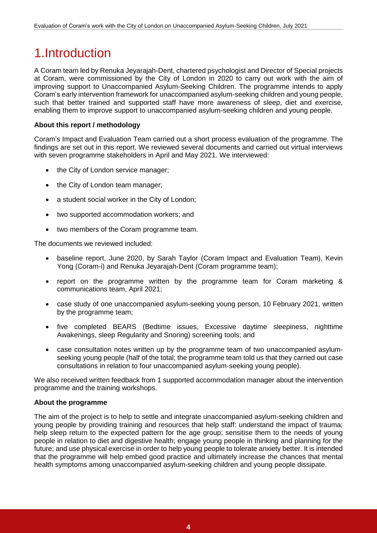# 1.Introduction

A Coram team led by Renuka Jeyarajah-Dent, chartered psychologist and Director of Special projects at Coram, were commissioned by the City of London in 2020 to carry out work with the aim of improving support to Unaccompanied Asylum-Seeking Children. The programme intends to apply Coram's early intervention framework for unaccompanied asylum-seeking children and young people, such that better trained and supported staff have more awareness of sleep, diet and exercise, enabling them to improve support to unaccompanied asylum-seeking children and young people.

# **About this report / methodology**

Coram's Impact and Evaluation Team carried out a short process evaluation of the programme. The findings are set out in this report. We reviewed several documents and carried out virtual interviews with seven programme stakeholders in April and May 2021. We interviewed:

- the City of London service manager;
- the City of London team manager;
- a student social worker in the City of London;
- two supported accommodation workers; and
- two members of the Coram programme team.

The documents we reviewed included:

- baseline report, June 2020, by Sarah Taylor (Coram Impact and Evaluation Team), Kevin Yong (Coram-i) and Renuka Jeyarajah-Dent (Coram programme team);
- report on the programme written by the programme team for Coram marketing & communications team, April 2021;
- case study of one unaccompanied asylum-seeking young person, 10 February 2021, written by the programme team;
- five completed BEARS (Bedtime issues, Excessive daytime sleepiness, nighttime Awakenings, sleep Regularity and Snoring) screening tools; and
- case consultation notes written up by the programme team of two unaccompanied asylumseeking young people (half of the total; the programme team told us that they carried out case consultations in relation to four unaccompanied asylum-seeking young people).

We also received written feedback from 1 supported accommodation manager about the intervention programme and the training workshops.

# **About the programme**

The aim of the project is to help to settle and integrate unaccompanied asylum-seeking children and young people by providing training and resources that help staff: understand the impact of trauma; help sleep return to the expected pattern for the age group; sensitise them to the needs of young people in relation to diet and digestive health; engage young people in thinking and planning for the future; and use physical exercise in order to help young people to tolerate anxiety better. It is intended that the programme will help embed good practice and ultimately increase the chances that mental health symptoms among unaccompanied asylum-seeking children and young people dissipate.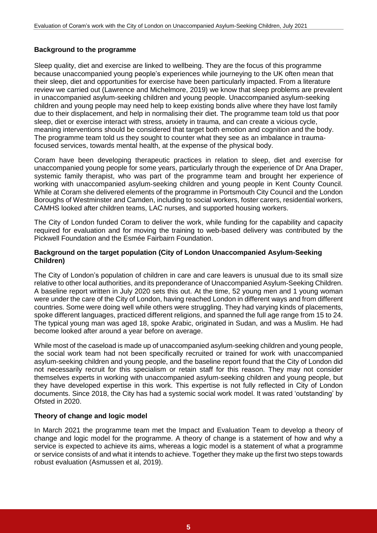# **Background to the programme**

Sleep quality, diet and exercise are linked to wellbeing. They are the focus of this programme because unaccompanied young people's experiences while journeying to the UK often mean that their sleep, diet and opportunities for exercise have been particularly impacted. From a literature review we carried out (Lawrence and Michelmore, 2019) we know that sleep problems are prevalent in unaccompanied asylum-seeking children and young people. Unaccompanied asylum-seeking children and young people may need help to keep existing bonds alive where they have lost family due to their displacement, and help in normalising their diet. The programme team told us that poor sleep, diet or exercise interact with stress, anxiety in trauma, and can create a vicious cycle, meaning interventions should be considered that target both emotion and cognition and the body. The programme team told us they sought to counter what they see as an imbalance in traumafocused services, towards mental health, at the expense of the physical body.

Coram have been developing therapeutic practices in relation to sleep, diet and exercise for unaccompanied young people for some years, particularly through the experience of Dr Ana Draper, systemic family therapist, who was part of the programme team and brought her experience of working with unaccompanied asylum-seeking children and young people in Kent County Council. While at Coram she delivered elements of the programme in Portsmouth City Council and the London Boroughs of Westminster and Camden, including to social workers, foster carers, residential workers, CAMHS looked after children teams, LAC nurses, and supported housing workers.

The City of London funded Coram to deliver the work, while funding for the capability and capacity required for evaluation and for moving the training to web-based delivery was contributed by the Pickwell Foundation and the Esmée Fairbairn Foundation.

## **Background on the target population (City of London Unaccompanied Asylum-Seeking Children)**

The City of London's population of children in care and care leavers is unusual due to its small size relative to other local authorities, and its preponderance of Unaccompanied Asylum-Seeking Children. A baseline report written in July 2020 sets this out. At the time, 52 young men and 1 young woman were under the care of the City of London, having reached London in different ways and from different countries. Some were doing well while others were struggling. They had varying kinds of placements, spoke different languages, practiced different religions, and spanned the full age range from 15 to 24. The typical young man was aged 18, spoke Arabic, originated in Sudan, and was a Muslim. He had become looked after around a year before on average.

While most of the caseload is made up of unaccompanied asylum-seeking children and young people, the social work team had not been specifically recruited or trained for work with unaccompanied asylum-seeking children and young people, and the baseline report found that the City of London did not necessarily recruit for this specialism or retain staff for this reason. They may not consider themselves experts in working with unaccompanied asylum-seeking children and young people, but they have developed expertise in this work. This expertise is not fully reflected in City of London documents. Since 2018, the City has had a systemic social work model. It was rated 'outstanding' by Ofsted in 2020.

# **Theory of change and logic model**

In March 2021 the programme team met the Impact and Evaluation Team to develop a theory of change and logic model for the programme. A theory of change is a statement of how and why a service is expected to achieve its aims, whereas a logic model is a statement of what a programme or service consists of and what it intends to achieve. Together they make up the first two steps towards robust evaluation (Asmussen et al, 2019).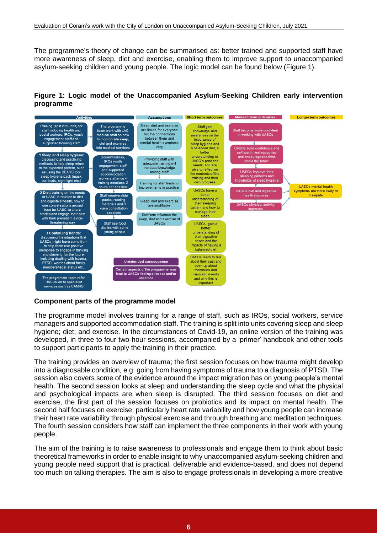The programme's theory of change can be summarised as: better trained and supported staff have more awareness of sleep, diet and exercise, enabling them to improve support to unaccompanied asylum-seeking children and young people. The logic model can be found below (Figure 1).

# **Figure 1: Logic model of the Unaccompanied Asylum-Seeking Children early intervention programme**



# **Component parts of the programme model**

The programme model involves training for a range of staff, such as IROs, social workers, service managers and supported accommodation staff. The training is split into units covering sleep and sleep hygiene; diet; and exercise. In the circumstances of Covid-19, an online version of the training was developed, in three to four two-hour sessions, accompanied by a 'primer' handbook and other tools to support participants to apply the training in their practice.

The training provides an overview of trauma; the first session focuses on how trauma might develop into a diagnosable condition, e.g. going from having symptoms of trauma to a diagnosis of PTSD. The session also covers some of the evidence around the impact migration has on young people's mental health. The second session looks at sleep and understanding the sleep cycle and what the physical and psychological impacts are when sleep is disrupted. The third session focuses on diet and exercise, the first part of the session focuses on probiotics and its impact on mental health. The second half focuses on exercise; particularly heart rate variability and how young people can increase their heart rate variability through physical exercise and through breathing and meditation techniques. The fourth session considers how staff can implement the three components in their work with young people.

The aim of the training is to raise awareness to professionals and engage them to think about basic theoretical frameworks in order to enable insight to why unaccompanied asylum-seeking children and young people need support that is practical, deliverable and evidence-based, and does not depend too much on talking therapies. The aim is also to engage professionals in developing a more creative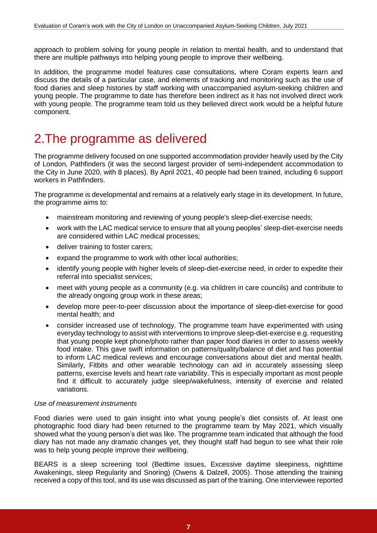approach to problem solving for young people in relation to mental health, and to understand that there are multiple pathways into helping young people to improve their wellbeing.

In addition, the programme model features case consultations, where Coram experts learn and discuss the details of a particular case, and elements of tracking and monitoring such as the use of food diaries and sleep histories by staff working with unaccompanied asylum-seeking children and young people. The programme to date has therefore been indirect as it has not involved direct work with young people. The programme team told us they believed direct work would be a helpful future component.

# 2.The programme as delivered

The programme delivery focused on one supported accommodation provider heavily used by the City of London, Pathfinders (it was the second largest provider of semi-independent accommodation to the City in June 2020, with 8 places). By April 2021, 40 people had been trained, including 6 support workers in Pathfinders.

The programme is developmental and remains at a relatively early stage in its development. In future, the programme aims to:

- mainstream monitoring and reviewing of young people's sleep-diet-exercise needs;
- work with the LAC medical service to ensure that all young peoples' sleep-diet-exercise needs are considered within LAC medical processes;
- deliver training to foster carers:
- expand the programme to work with other local authorities;
- identify young people with higher levels of sleep-diet-exercise need, in order to expedite their referral into specialist services;
- meet with young people as a community (e.g. via children in care councils) and contribute to the already ongoing group work in these areas;
- develop more peer-to-peer discussion about the importance of sleep-diet-exercise for good mental health; and
- consider increased use of technology. The programme team have experimented with using everyday technology to assist with interventions to improve sleep-diet-exercise e.g. requesting that young people kept phone/photo rather than paper food diaries in order to assess weekly food intake. This gave swift information on patterns/quality/balance of diet and has potential to inform LAC medical reviews and encourage conversations about diet and mental health. Similarly, Fitbits and other wearable technology can aid in accurately assessing sleep patterns, exercise levels and heart rate variability. This is especially important as most people find it difficult to accurately judge sleep/wakefulness, intensity of exercise and related variations.

#### *Use of measurement instruments*

Food diaries were used to gain insight into what young people's diet consists of. At least one photographic food diary had been returned to the programme team by May 2021, which visually showed what the young person's diet was like. The programme team indicated that although the food diary has not made any dramatic changes yet, they thought staff had begun to see what their role was to help young people improve their wellbeing.

BEARS is a sleep screening tool (Bedtime issues, Excessive daytime sleepiness, nighttime Awakenings, sleep Regularity and Snoring) (Owens & Dalzell, 2005). Those attending the training received a copy of this tool, and its use was discussed as part of the training. One interviewee reported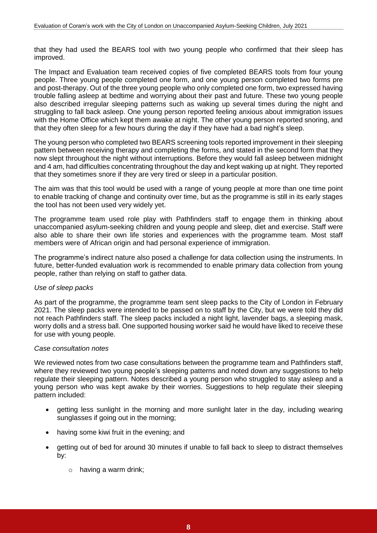that they had used the BEARS tool with two young people who confirmed that their sleep has improved.

The Impact and Evaluation team received copies of five completed BEARS tools from four young people. Three young people completed one form, and one young person completed two forms pre and post-therapy. Out of the three young people who only completed one form, two expressed having trouble falling asleep at bedtime and worrying about their past and future. These two young people also described irregular sleeping patterns such as waking up several times during the night and struggling to fall back asleep. One young person reported feeling anxious about immigration issues with the Home Office which kept them awake at night. The other young person reported snoring, and that they often sleep for a few hours during the day if they have had a bad night's sleep.

The young person who completed two BEARS screening tools reported improvement in their sleeping pattern between receiving therapy and completing the forms, and stated in the second form that they now slept throughout the night without interruptions. Before they would fall asleep between midnight and 4 am, had difficulties concentrating throughout the day and kept waking up at night. They reported that they sometimes snore if they are very tired or sleep in a particular position.

The aim was that this tool would be used with a range of young people at more than one time point to enable tracking of change and continuity over time, but as the programme is still in its early stages the tool has not been used very widely yet.

The programme team used role play with Pathfinders staff to engage them in thinking about unaccompanied asylum-seeking children and young people and sleep, diet and exercise. Staff were also able to share their own life stories and experiences with the programme team. Most staff members were of African origin and had personal experience of immigration.

The programme's indirect nature also posed a challenge for data collection using the instruments. In future, better-funded evaluation work is recommended to enable primary data collection from young people, rather than relying on staff to gather data.

#### *Use of sleep packs*

As part of the programme, the programme team sent sleep packs to the City of London in February 2021. The sleep packs were intended to be passed on to staff by the City, but we were told they did not reach Pathfinders staff. The sleep packs included a night light, lavender bags, a sleeping mask, worry dolls and a stress ball. One supported housing worker said he would have liked to receive these for use with young people.

#### *Case consultation notes*

We reviewed notes from two case consultations between the programme team and Pathfinders staff, where they reviewed two young people's sleeping patterns and noted down any suggestions to help regulate their sleeping pattern. Notes described a young person who struggled to stay asleep and a young person who was kept awake by their worries. Suggestions to help regulate their sleeping pattern included:

- getting less sunlight in the morning and more sunlight later in the day, including wearing sunglasses if going out in the morning;
- having some kiwi fruit in the evening; and
- getting out of bed for around 30 minutes if unable to fall back to sleep to distract themselves by:
	- o having a warm drink;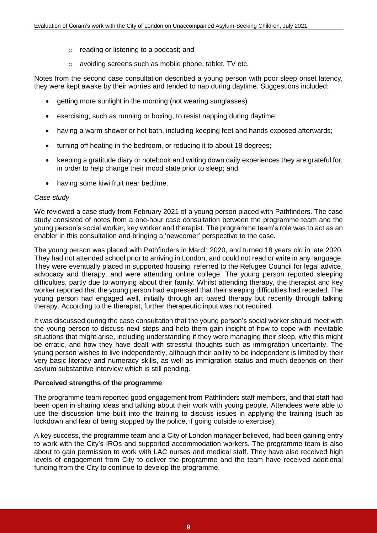- o reading or listening to a podcast; and
- o avoiding screens such as mobile phone, tablet, TV etc.

Notes from the second case consultation described a young person with poor sleep onset latency, they were kept awake by their worries and tended to nap during daytime. Suggestions included:

- getting more sunlight in the morning (not wearing sunglasses)
- exercising, such as running or boxing, to resist napping during daytime;
- having a warm shower or hot bath, including keeping feet and hands exposed afterwards;
- turning off heating in the bedroom, or reducing it to about 18 degrees;
- keeping a gratitude diary or notebook and writing down daily experiences they are grateful for, in order to help change their mood state prior to sleep; and
- having some kiwi fruit near bedtime.

#### *Case study*

We reviewed a case study from February 2021 of a young person placed with Pathfinders. The case study consisted of notes from a one-hour case consultation between the programme team and the young person's social worker, key worker and therapist. The programme team's role was to act as an enabler in this consultation and bringing a 'newcomer' perspective to the case.

The young person was placed with Pathfinders in March 2020, and turned 18 years old in late 2020. They had not attended school prior to arriving in London, and could not read or write in any language. They were eventually placed in supported housing, referred to the Refugee Council for legal advice, advocacy and therapy, and were attending online college. The young person reported sleeping difficulties, partly due to worrying about their family. Whilst attending therapy, the therapist and key worker reported that the young person had expressed that their sleeping difficulties had receded. The young person had engaged well, initially through art based therapy but recently through talking therapy. According to the therapist, further therapeutic input was not required.

It was discussed during the case consultation that the young person's social worker should meet with the young person to discuss next steps and help them gain insight of how to cope with inevitable situations that might arise, including understanding if they were managing their sleep, why this might be erratic, and how they have dealt with stressful thoughts such as immigration uncertainty. The young person wishes to live independently, although their ability to be independent is limited by their very basic literacy and numeracy skills, as well as immigration status and much depends on their asylum substantive interview which is still pending.

#### **Perceived strengths of the programme**

The programme team reported good engagement from Pathfinders staff members, and that staff had been open in sharing ideas and talking about their work with young people. Attendees were able to use the discussion time built into the training to discuss issues in applying the training (such as lockdown and fear of being stopped by the police, if going outside to exercise).

A key success, the programme team and a City of London manager believed, had been gaining entry to work with the City's IROs and supported accommodation workers. The programme team is also about to gain permission to work with LAC nurses and medical staff. They have also received high levels of engagement from City to deliver the programme and the team have received additional funding from the City to continue to develop the programme.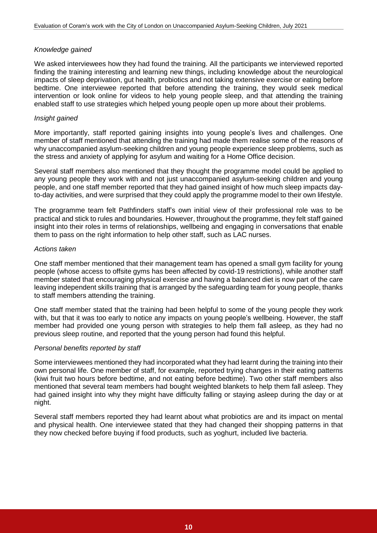## *Knowledge gained*

We asked interviewees how they had found the training. All the participants we interviewed reported finding the training interesting and learning new things, including knowledge about the neurological impacts of sleep deprivation, gut health, probiotics and not taking extensive exercise or eating before bedtime. One interviewee reported that before attending the training, they would seek medical intervention or look online for videos to help young people sleep, and that attending the training enabled staff to use strategies which helped young people open up more about their problems.

## *Insight gained*

More importantly, staff reported gaining insights into young people's lives and challenges. One member of staff mentioned that attending the training had made them realise some of the reasons of why unaccompanied asylum-seeking children and young people experience sleep problems, such as the stress and anxiety of applying for asylum and waiting for a Home Office decision.

Several staff members also mentioned that they thought the programme model could be applied to any young people they work with and not just unaccompanied asylum-seeking children and young people, and one staff member reported that they had gained insight of how much sleep impacts dayto-day activities, and were surprised that they could apply the programme model to their own lifestyle.

The programme team felt Pathfinders staff's own initial view of their professional role was to be practical and stick to rules and boundaries. However, throughout the programme, they felt staff gained insight into their roles in terms of relationships, wellbeing and engaging in conversations that enable them to pass on the right information to help other staff, such as LAC nurses.

## *Actions taken*

One staff member mentioned that their management team has opened a small gym facility for young people (whose access to offsite gyms has been affected by covid-19 restrictions), while another staff member stated that encouraging physical exercise and having a balanced diet is now part of the care leaving independent skills training that is arranged by the safeguarding team for young people, thanks to staff members attending the training.

One staff member stated that the training had been helpful to some of the young people they work with, but that it was too early to notice any impacts on young people's wellbeing. However, the staff member had provided one young person with strategies to help them fall asleep, as they had no previous sleep routine, and reported that the young person had found this helpful.

#### *Personal benefits reported by staff*

Some interviewees mentioned they had incorporated what they had learnt during the training into their own personal life. One member of staff, for example, reported trying changes in their eating patterns (kiwi fruit two hours before bedtime, and not eating before bedtime). Two other staff members also mentioned that several team members had bought weighted blankets to help them fall asleep. They had gained insight into why they might have difficulty falling or staying asleep during the day or at night.

Several staff members reported they had learnt about what probiotics are and its impact on mental and physical health. One interviewee stated that they had changed their shopping patterns in that they now checked before buying if food products, such as yoghurt, included live bacteria.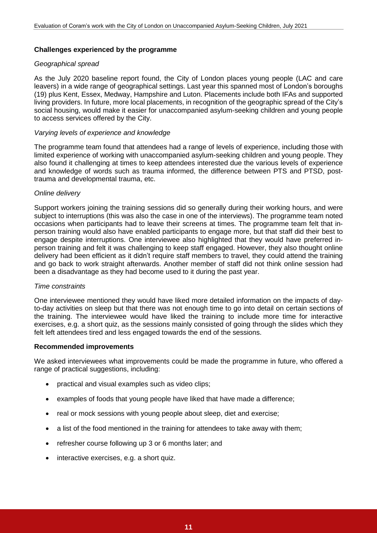# **Challenges experienced by the programme**

## *Geographical spread*

As the July 2020 baseline report found, the City of London places young people (LAC and care leavers) in a wide range of geographical settings. Last year this spanned most of London's boroughs (19) plus Kent, Essex, Medway, Hampshire and Luton. Placements include both IFAs and supported living providers. In future, more local placements, in recognition of the geographic spread of the City's social housing, would make it easier for unaccompanied asylum-seeking children and young people to access services offered by the City.

## *Varying levels of experience and knowledge*

The programme team found that attendees had a range of levels of experience, including those with limited experience of working with unaccompanied asylum-seeking children and young people. They also found it challenging at times to keep attendees interested due the various levels of experience and knowledge of words such as trauma informed, the difference between PTS and PTSD, posttrauma and developmental trauma, etc.

## *Online delivery*

Support workers joining the training sessions did so generally during their working hours, and were subject to interruptions (this was also the case in one of the interviews). The programme team noted occasions when participants had to leave their screens at times. The programme team felt that inperson training would also have enabled participants to engage more, but that staff did their best to engage despite interruptions. One interviewee also highlighted that they would have preferred inperson training and felt it was challenging to keep staff engaged. However, they also thought online delivery had been efficient as it didn't require staff members to travel, they could attend the training and go back to work straight afterwards. Another member of staff did not think online session had been a disadvantage as they had become used to it during the past year.

#### *Time constraints*

One interviewee mentioned they would have liked more detailed information on the impacts of dayto-day activities on sleep but that there was not enough time to go into detail on certain sections of the training. The interviewee would have liked the training to include more time for interactive exercises, e.g. a short quiz, as the sessions mainly consisted of going through the slides which they felt left attendees tired and less engaged towards the end of the sessions.

#### **Recommended improvements**

We asked interviewees what improvements could be made the programme in future, who offered a range of practical suggestions, including:

- practical and visual examples such as video clips;
- examples of foods that young people have liked that have made a difference;
- real or mock sessions with young people about sleep, diet and exercise;
- a list of the food mentioned in the training for attendees to take away with them;
- refresher course following up 3 or 6 months later; and
- interactive exercises, e.g. a short quiz.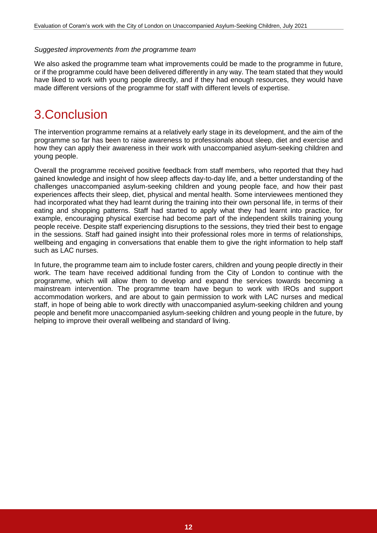#### *Suggested improvements from the programme team*

We also asked the programme team what improvements could be made to the programme in future, or if the programme could have been delivered differently in any way. The team stated that they would have liked to work with young people directly, and if they had enough resources, they would have made different versions of the programme for staff with different levels of expertise.

# 3.Conclusion

The intervention programme remains at a relatively early stage in its development, and the aim of the programme so far has been to raise awareness to professionals about sleep, diet and exercise and how they can apply their awareness in their work with unaccompanied asylum-seeking children and young people.

Overall the programme received positive feedback from staff members, who reported that they had gained knowledge and insight of how sleep affects day-to-day life, and a better understanding of the challenges unaccompanied asylum-seeking children and young people face, and how their past experiences affects their sleep, diet, physical and mental health. Some interviewees mentioned they had incorporated what they had learnt during the training into their own personal life, in terms of their eating and shopping patterns. Staff had started to apply what they had learnt into practice, for example, encouraging physical exercise had become part of the independent skills training young people receive. Despite staff experiencing disruptions to the sessions, they tried their best to engage in the sessions. Staff had gained insight into their professional roles more in terms of relationships, wellbeing and engaging in conversations that enable them to give the right information to help staff such as LAC nurses.

In future, the programme team aim to include foster carers, children and young people directly in their work. The team have received additional funding from the City of London to continue with the programme, which will allow them to develop and expand the services towards becoming a mainstream intervention. The programme team have begun to work with IROs and support accommodation workers, and are about to gain permission to work with LAC nurses and medical staff, in hope of being able to work directly with unaccompanied asylum-seeking children and young people and benefit more unaccompanied asylum-seeking children and young people in the future, by helping to improve their overall wellbeing and standard of living.